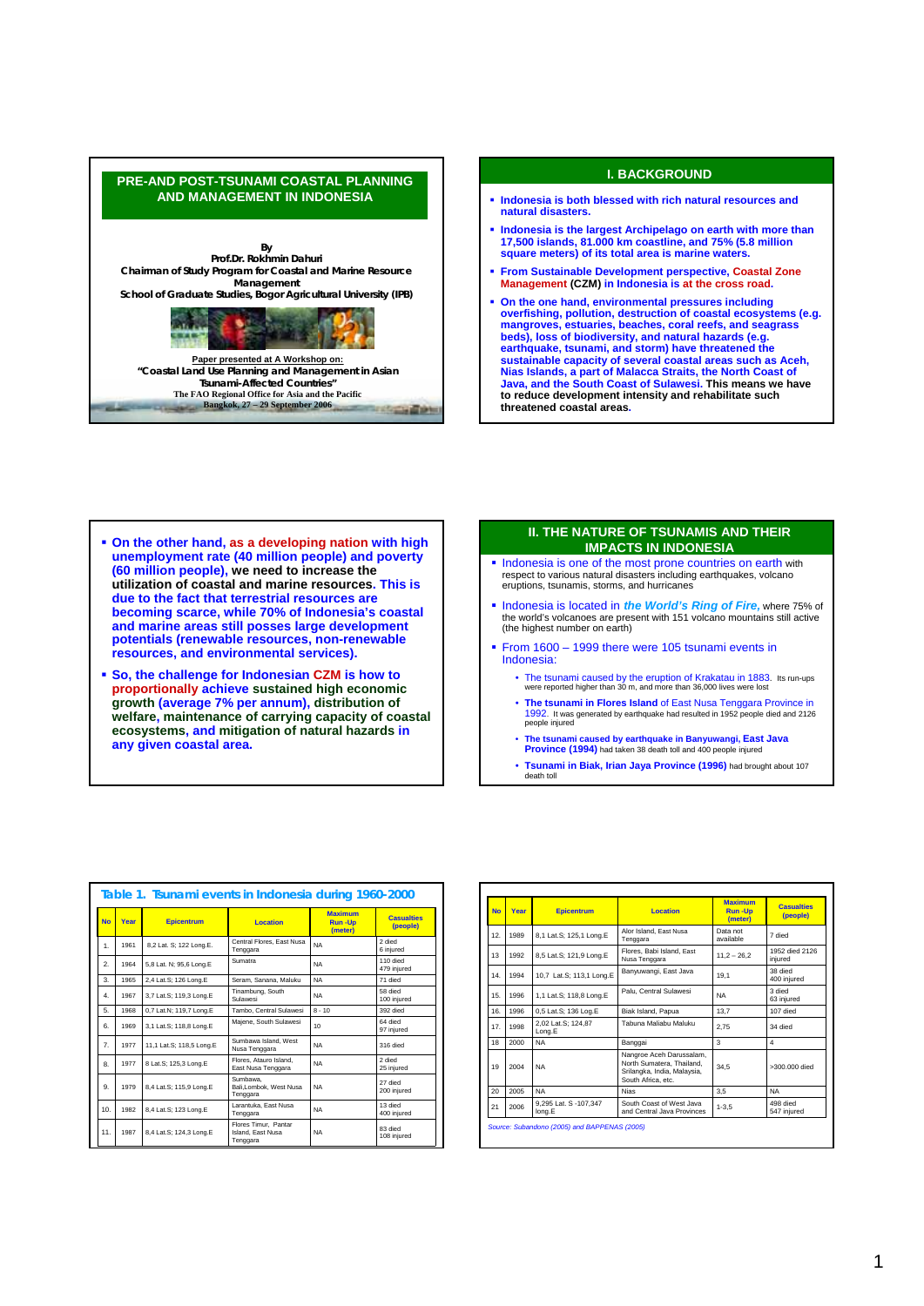



- **On the other hand, as a developing nation with high unemployment rate (40 million people) and poverty (60 million people), we need to increase the utilization of coastal and marine resources. This is due to the fact that terrestrial resources are becoming scarce, while 70% of Indonesia's coastal and marine areas still posses large development potentials (renewable resources, non-renewable resources, and environmental services).**
- **So, the challenge for Indonesian CZM is how to proportionally achieve sustained high economic growth (average 7% per annum), distribution of welfare, maintenance of carrying capacity of coastal ecosystems, and mitigation of natural hazards in any given coastal area.**

## **II. THE NATURE OF TSUNAMIS AND THEIR IMPACTS IN INDONESIA**

- Indonesia is one of the most prone countries on earth with respect to various natural disasters including earthquakes, volcano eruptions, tsunamis, storms, and hurricanes
- **Indonesia is located in** *the World's Ring of Fire***, where 75% of the world's volcanoes are present with 151 volcano mountains still active (the highest number on earth)**
- From 1600 1999 there were 105 tsunami events in Indonesia:
	- The tsunami caused by the eruption of Krakatau in 1883. Its run-ups were reported higher than 30 m, and more than 36,000 lives were lost
	- **The tsunami in Flores Island** of East Nusa Tenggara Province in 1992. It was generated by earthquake had resulted in 1952 people died and 2126 people injured
	- **The tsunami caused by earthquake in Banyuwangi, East Java Province (1994)** had taken 38 death toll and 400 people injured
	- **Tsunami in Biak, Irian Jaya Province (1996)** had brought about 107 death toll

|                       |      | Table 1. Tsunami events in Indonesia during 1960-2000 |                                                       |                                            |                               |
|-----------------------|------|-------------------------------------------------------|-------------------------------------------------------|--------------------------------------------|-------------------------------|
| <b>No</b>             | Year | <b>Epicentrum</b>                                     | <b>Location</b>                                       | <b>Maximum</b><br><b>Run-Up</b><br>(meter) | <b>Casualties</b><br>(people) |
| 1.                    | 1961 | 8,2 Lat. S; 122 Long.E.                               | Central Flores, East Nusa<br>Tenggara                 | <b>NA</b>                                  | 2 died<br>6 iniured           |
| $\mathcal{P}_{\cdot}$ | 1964 | 5,8 Lat. N; 95,6 Long.E                               | Sumatra                                               | <b>NA</b>                                  | 110 died<br>479 iniured       |
| 3.                    | 1965 | 2.4 Lat.S: 126 Long.E                                 | Seram, Sanana, Maluku                                 | <b>NA</b>                                  | 71 died                       |
| $\mathbf{4}$          | 1967 | 3,7 Lat.S; 119,3 Long.E                               | Tinambung, South<br>Sulawesi                          | <b>NA</b>                                  | 58 died<br>100 injured        |
| 5.                    | 1968 | 0.7 Lat.N: 119.7 Long.E                               | Tambo, Central Sulawesi                               | $8 - 10$                                   | 392 died                      |
| 6.                    | 1969 | 3.1 Lat.S: 118.8 Long.E                               | Maiene. South Sulawesi                                | 10 <sup>1</sup>                            | 64 died<br>97 injured         |
| $\mathbf{7}$          | 1977 | 11.1 Lat.S: 118.5 Long.E                              | Sumbawa Island, West<br>Nusa Tenggara                 | <b>NA</b>                                  | 316 died                      |
| 8.                    | 1977 | 8 Lat.S; 125,3 Long.E                                 | Flores, Atauro Island.<br>East Nusa Tenggara          | <b>NA</b>                                  | 2 died<br>25 iniured          |
| 9.                    | 1979 | 8.4 Lat.S: 115.9 Long.E                               | Sumbawa.<br>Bali, Lombok, West Nusa<br>Tenggara       | <b>NA</b>                                  | 27 died<br>200 iniured        |
| 10 <sub>1</sub>       | 1982 | 8,4 Lat.S; 123 Long.E                                 | Larantuka, East Nusa<br>Tenggara                      | <b>NA</b>                                  | 13 died<br>400 iniured        |
| 11.                   | 1987 | 8.4 Lat.S: 124.3 Long.E                               | Flores Timur. Pantar<br>Island, East Nusa<br>Tenggara | <b>NA</b>                                  | 83 died<br>108 iniured        |

| <b>No</b> | Year | <b>Epicentrum</b>               | Location                                                                                                   | <b>Maximum</b><br><b>Run-Up</b><br>(meter) | Casualties<br>(people)    |
|-----------|------|---------------------------------|------------------------------------------------------------------------------------------------------------|--------------------------------------------|---------------------------|
| 12.       | 1989 | 8,1 Lat.S; 125,1 Long.E         | Alor Island, East Nusa<br>Tenggara                                                                         | Data not<br>available                      | 7 died                    |
| 13        | 1992 | 8,5 Lat.S; 121,9 Long.E         | Flores, Babi Island, East<br>Nusa Tenggara                                                                 | $11,2 - 26,2$                              | 1952 died 2126<br>iniured |
| 14.       | 1994 | 10,7 Lat.S; 113,1 Long.E        | Banyuwangi, East Java                                                                                      | 19.1                                       | 38 died<br>400 injured    |
| 15.       | 1996 | 1,1 Lat.S; 118,8 Long.E         | Palu. Central Sulawesi                                                                                     | <b>NA</b>                                  | 3 died<br>63 injured      |
| 16.       | 1996 | 0,5 Lat.S; 136 Log.E            | Biak Island, Papua                                                                                         | 13.7                                       | 107 died                  |
| 17.       | 1998 | 2,02 Lat.S; 124,87<br>Long.E    | Tabuna Maliabu Maluku                                                                                      | 2.75                                       | 34 died                   |
| 18        | 2000 | <b>NA</b>                       | Banggai                                                                                                    | 3                                          | 4                         |
| 19        | 2004 | <b>NA</b>                       | Nangroe Aceh Darussalam,<br>North Sumatera, Thailand,<br>Srilangka, India, Malaysia,<br>South Africa, etc. | 34.5                                       | >300.000 died             |
| 20        | 2005 | <b>NA</b>                       | <b>Nias</b>                                                                                                | 3.5                                        | <b>NA</b>                 |
| 21        | 2006 | 9,295 Lat. S -107,347<br>long.E | South Coast of West Java<br>and Central Java Provinces                                                     | $1 - 3.5$                                  | 498 died<br>547 iniured   |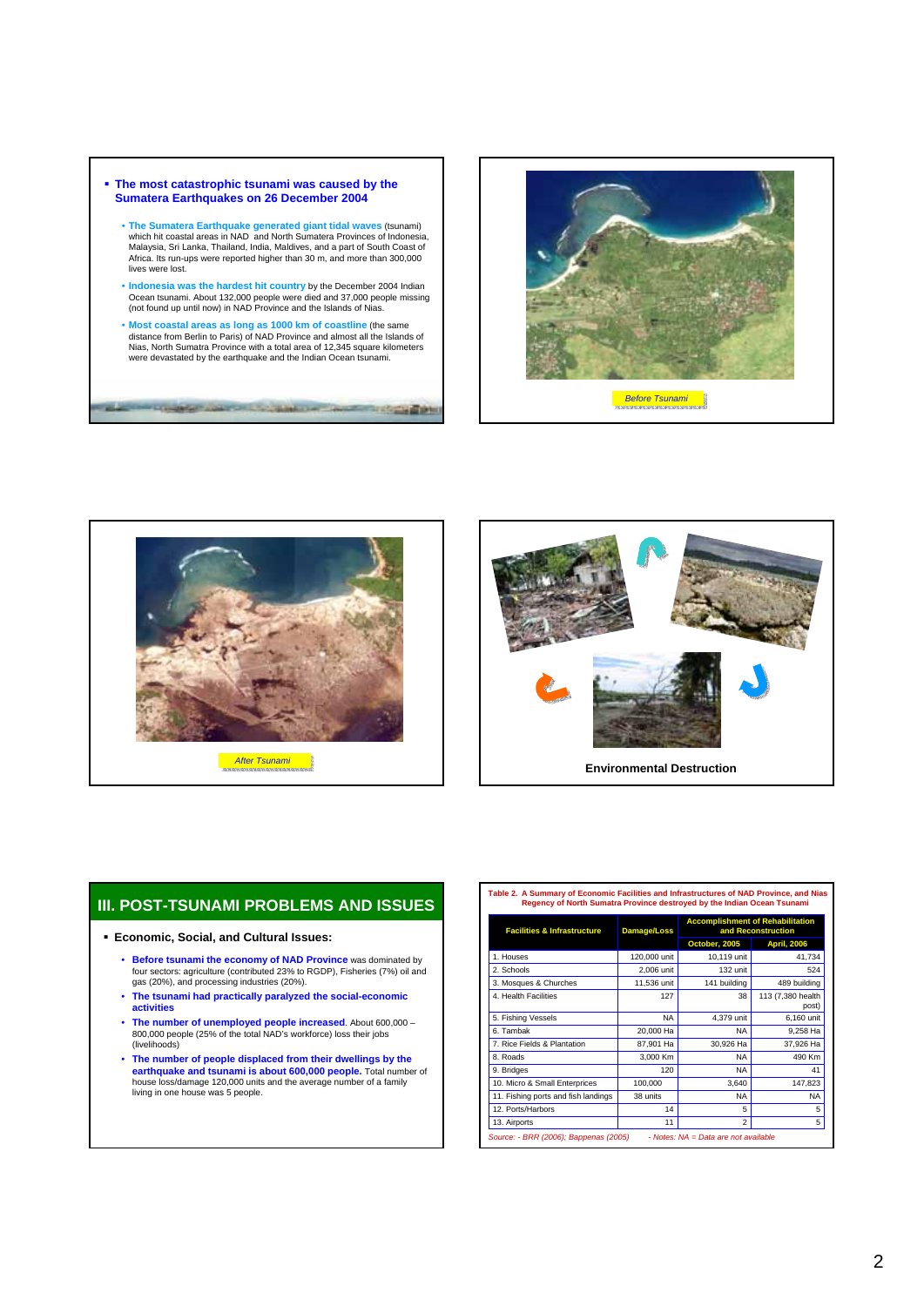- **The most catastrophic tsunami was caused by the Sumatera Earthquakes on 26 December 2004**
	- **The Sumatera Earthquake generated giant tidal waves** (tsunami) which hit coastal areas in NAD and North Sumatera Provinces of Indonesia, Malaysia, Sri Lanka, Thailand, India, Maldives, and a part of South Coast of Africa. Its run-ups were reported higher than 30 m, and more than 300,000 lives were lost.
	- **Indonesia was the hardest hit country** by the December 2004 Indian Ocean tsunami. About 132,000 people were died and 37,000 people missing (not found up until now) in NAD Province and the Islands of Nias.
	- **Most coastal areas as long as 1000 km of coastline** (the same distance from Berlin to Paris) of NAD Province and almost all the Islands of Nias, North Sumatra Province with a total area of 12,345 square kilometers were devastated by the earthquake and the Indian Ocean tsunami.

The couples control to part of an interesting the







# **III. POST-TSUNAMI PROBLEMS AND ISSUES**

## **Economic, Social, and Cultural Issues:**

- **Before tsunami the economy of NAD Province** was dominated by four sectors: agriculture (contributed 23% to RGDP), Fisheries (7%) oil and gas (20%), and processing industries (20%).
- **The tsunami had practically paralyzed the social-economic activities**
- **The number of unemployed people increased**. About 600,000 800,000 people (25% of the total NAD's workforce) loss their jobs (livelihoods)
- The number of people displaced from their dwellings by the<br>earthquake and tsunami is about 600,000 people. Total number of<br>house loss/damage 120,000 units and the average number of a family<br>living in one house was 5 peop

**Table 2. A Summary of Economic Facilities and Infrastructures of NAD Province, and Nias Regency of North Sumatra Province destroyed by the Indian Ocean Tsunami** 

| <b>Facilities &amp; Infrastructure</b> | <b>Damage/Loss</b> | <b>Accomplishment of Rehabilitation</b><br>and Reconstruction |                            |  |
|----------------------------------------|--------------------|---------------------------------------------------------------|----------------------------|--|
|                                        |                    | October, 2005                                                 | <b>April, 2006</b>         |  |
| 1. Houses                              | 120,000 unit       | 10,119 unit                                                   | 41,734                     |  |
| 2. Schools                             | 2,006 unit         | $132$ unit                                                    | 524                        |  |
| 3. Mosques & Churches                  | 11.536 unit        | 141 building                                                  | 489 building               |  |
| 4. Health Facilities                   | 127                | 38                                                            | 113 (7,380 health<br>post) |  |
| 5. Fishing Vessels                     | <b>NA</b>          | 4.379 unit                                                    | 6,160 unit                 |  |
| 6. Tambak                              | 20,000 Ha          | NA                                                            | 9,258 Ha                   |  |
| 7. Rice Fields & Plantation            | 87,901 Ha          | 30,926 Ha                                                     | 37,926 Ha                  |  |
| 8. Roads                               | 3.000 Km           | <b>NA</b>                                                     | 490 Km                     |  |
| 9. Bridges                             | 120                | NA                                                            | 41                         |  |
| 10. Micro & Small Enterprices          | 100,000            | 3,640                                                         | 147,823                    |  |
| 11. Fishing ports and fish landings    | 38 units           | NA                                                            | NA                         |  |
| 12. Ports/Harbors                      | 14                 | 5                                                             | 5                          |  |
| 13. Airports                           | 11                 | $\overline{\mathbf{c}}$                                       | 5                          |  |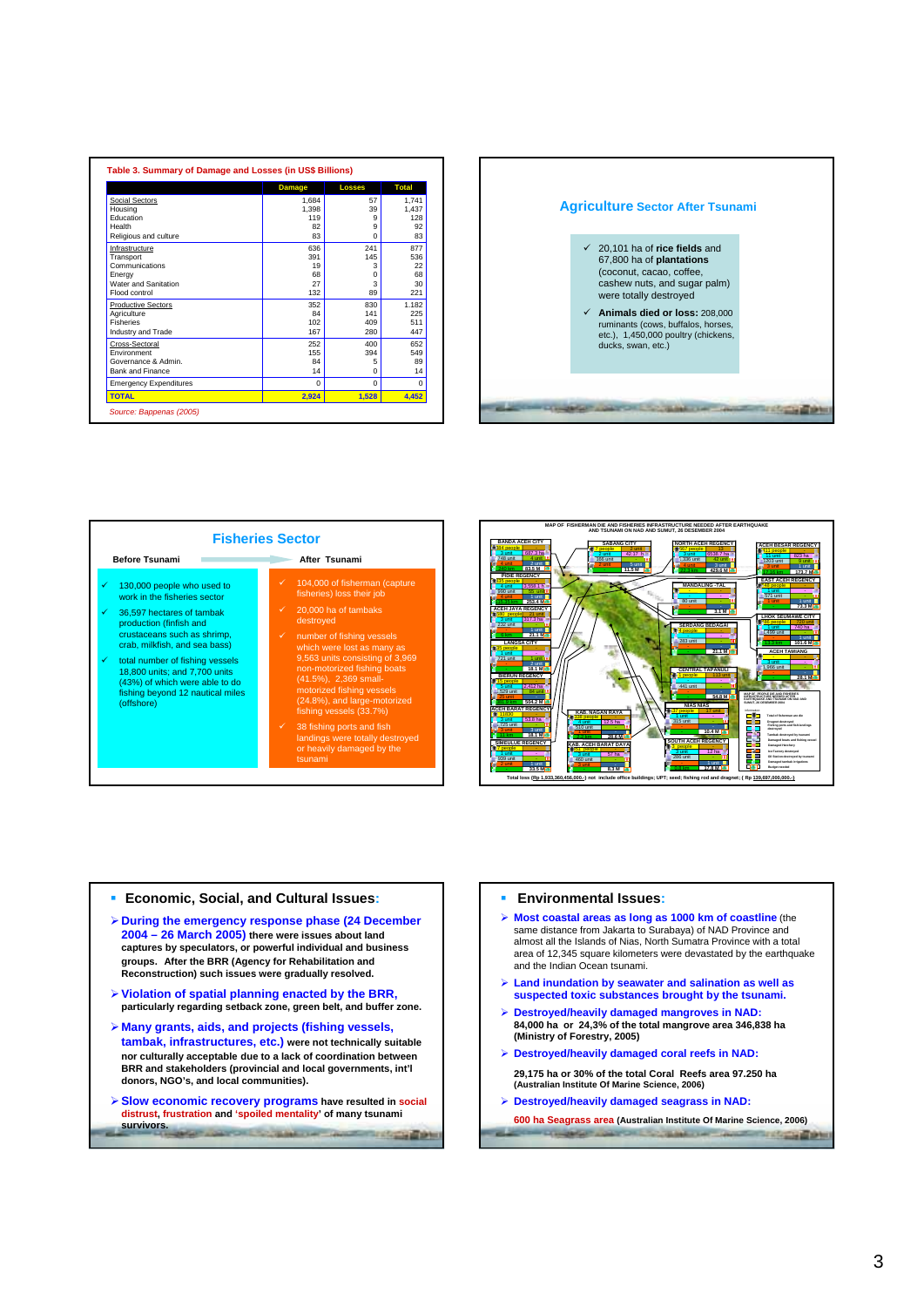|                               | <b>Damage</b> | <b>Losses</b> | <b>Total</b> |
|-------------------------------|---------------|---------------|--------------|
| Social Sectors                | 1.684         | 57            | 1,741        |
| Housing                       | 1.398         | 39            | 1.437        |
| Education                     | 119           | 9             | 128          |
| Health                        | 82            | 9             | 92           |
| Religious and culture         | 83            | $\Omega$      | 83           |
| Infrastructure                | 636           | 241           | 877          |
| Transport                     | 391           | 145           | 536          |
| Communications                | 19            | 3             | 22           |
| Energy                        | 68            | U             | 68           |
| Water and Sanitation          | 27            | 3             | 30           |
| Flood control                 | 132           | 89            | 221          |
| <b>Productive Sectors</b>     | 352           | 830           | 1.182        |
| Agriculture                   | 84            | 141           | 225          |
| <b>Fisheries</b>              | 102           | 409           | 511          |
| Industry and Trade            | 167           | 280           | 447          |
| Cross-Sectoral                | 252           | 400           | 652          |
| Environment                   | 155           | 394           | 549          |
| Governance & Admin.           | 84            | 5             | 89           |
| Bank and Finance              | 14            | $\Omega$      | 14           |
| <b>Emergency Expenditures</b> | $\Omega$      | $\Omega$      | $\Omega$     |
| <b>TOTAL</b>                  | 2,924         | 1,528         | 4,452        |

# **Agriculture Sector After Tsunami** 9 20,101 ha of **rice fields** and 67,800 ha of **plantations** (coconut, cacao, coffee, cashew nuts, and sugar palm) were totally destroyed 9 **Animals died or loss:** 208,000 ruminants (cows, buffalos, horses, etc.), 1,450,000 poultry (chickens, ducks, swan, etc.) **CONTRACTOR CONTRACTOR CONTRACTOR**





## **Economic, Social, and Cultural Issues:**

- ¾**During the emergency response phase (24 December 2004 – 26 March 2005) there were issues about land captures by speculators, or powerful individual and business groups. After the BRR (Agency for Rehabilitation and Reconstruction) such issues were gradually resolved.**
- ¾**Violation of spatial planning enacted by the BRR, particularly regarding setback zone, green belt, and buffer zone.**
- ¾ **Many grants, aids, and projects (fishing vessels, tambak, infrastructures, etc.) were not technically suitable nor culturally acceptable due to a lack of coordination between BRR and stakeholders (provincial and local governments, int'l donors, NGO's, and local communities).**
- ¾**Slow economic recovery programs have resulted in social distrust, frustration and 'spoiled mentality' of many tsunami survivors. CHECK COMMUNITY CONTRACTOR**

#### **Environmental Issues:**

- ¾ **Most coastal areas as long as 1000 km of coastline** (the same distance from Jakarta to Surabaya) of NAD Province and almost all the Islands of Nias, North Sumatra Province with a total area of 12,345 square kilometers were devastated by the earthquake and the Indian Ocean tsunami.
- ¾ **Land inundation by seawater and salination as well as suspected toxic substances brought by the tsunami.**
- ¾ **Destroyed/heavily damaged mangroves in NAD: 84,000 ha or 24,3% of the total mangrove area 346,838 ha (Ministry of Forestry, 2005)**
- ¾ **Destroyed/heavily damaged coral reefs in NAD: 29,175 ha or 30% of the total Coral Reefs area 97.250 ha (Australian Institute Of Marine Science, 2006)**
- ¾ **Destroyed/heavily damaged seagrass in NAD:**

**600 ha Seagrass area (Australian Institute Of Marine Science, 2006)** $-400$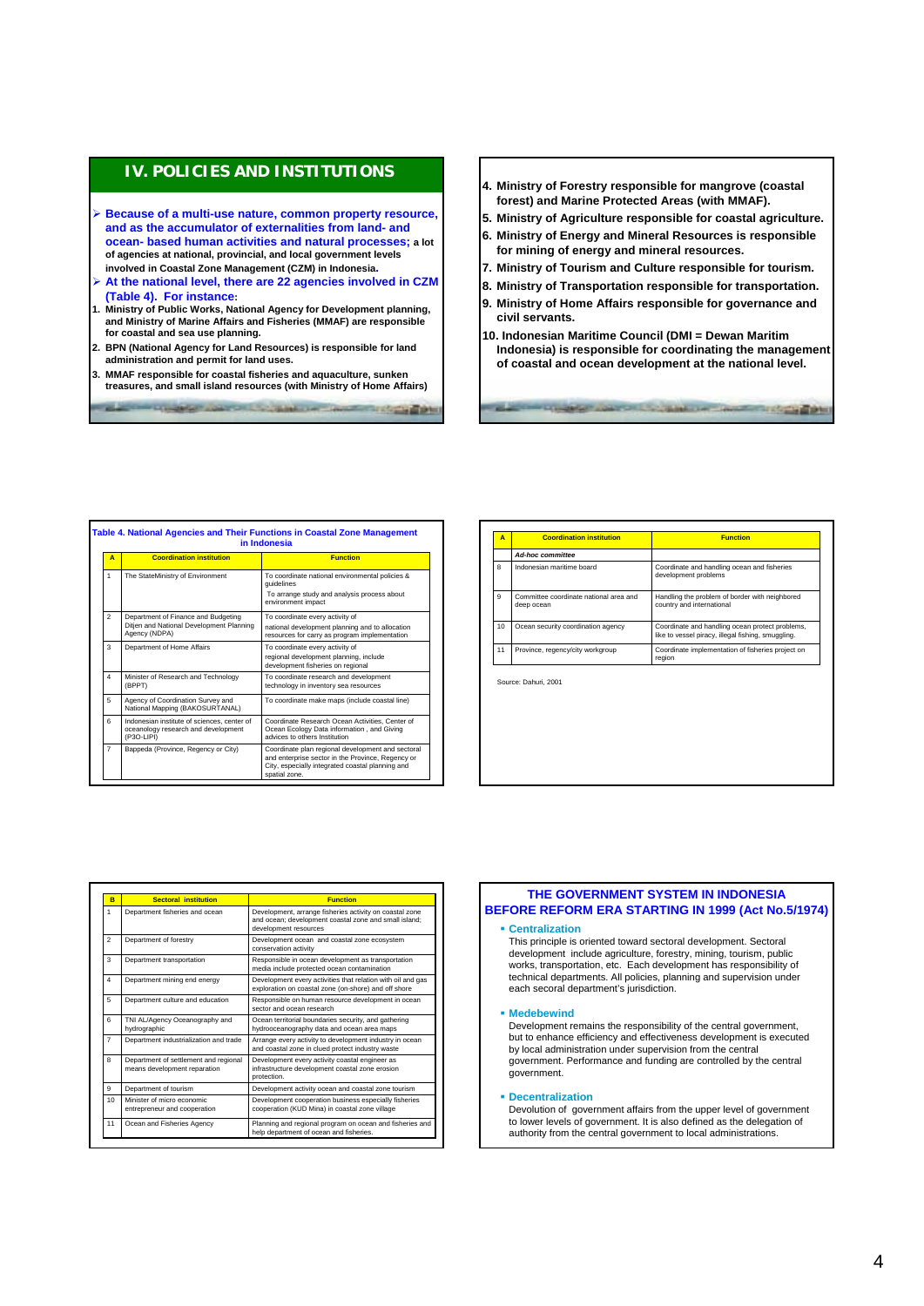# **IV. POLICIES AND INSTITUTIONS**

- ¾ **Because of a multi-use nature, common property resource, and as the accumulator of externalities from land- and ocean- based human activities and natural processes; a lot of agencies at national, provincial, and local government levels involved in Coastal Zone Management (CZM) in Indonesia.**
- ¾ **At the national level, there are 22 agencies involved in CZM (Table 4). For instance:**
- **1. Ministry of Public Works, National Agency for Development planning, and Ministry of Marine Affairs and Fisheries (MMAF) are responsible for coastal and sea use planning.**
- **2. BPN (National Agency for Land Resources) is responsible for land administration and permit for land uses.**
- **3. MMAF responsible for coastal fisheries and aquaculture, sunken treasures, and small island resources (with Ministry of Home Affairs)**

**AND RESIDENCE AND RESIDENCE** 

- **4. Ministry of Forestry responsible for mangrove (coastal forest) and Marine Protected Areas (with MMAF).**
- **5. Ministry of Agriculture responsible for coastal agriculture.**
- **6. Ministry of Energy and Mineral Resources is responsible for mining of energy and mineral resources.**
- **7. Ministry of Tourism and Culture responsible for tourism.**
- **8. Ministry of Transportation responsible for transportation.**
- **9. Ministry of Home Affairs responsible for governance and civil servants.**
- **10. Indonesian Maritime Council (DMI = Dewan Maritim Indonesia) is responsible for coordinating the management of coastal and ocean development at the national level.**

**COMPANY AND CONTRACTOR AND DESCRIPTION** 

| A                       | <b>Coordination institution</b>                                                                  | <b>Function</b>                                                                                                                                                             |
|-------------------------|--------------------------------------------------------------------------------------------------|-----------------------------------------------------------------------------------------------------------------------------------------------------------------------------|
| 1                       | The StateMinistry of Environment                                                                 | To coordinate national environmental policies &<br>quidelines<br>To arrange study and analysis process about<br>environment impact                                          |
| $\mathfrak{p}$          | Department of Finance and Budgeting<br>Ditjen and National Development Planning<br>Agency (NDPA) | To coordinate every activity of<br>national development planning and to allocation<br>resources for carry as program implementation                                         |
| 3                       | Department of Home Affairs                                                                       | To coordinate every activity of<br>regional development planning, include<br>development fisheries on regional                                                              |
| $\overline{\mathbf{4}}$ | Minister of Research and Technology<br>(BPPT)                                                    | To coordinate research and development<br>technology in inventory sea resources                                                                                             |
| 5                       | Agency of Coordination Survey and<br>National Mapping (BAKOSURTANAL)                             | To coordinate make maps (include coastal line)                                                                                                                              |
| 6                       | Indonesian institute of sciences, center of<br>oceanology research and development<br>(P3O-LIPI) | Coordinate Research Ocean Activities, Center of<br>Ocean Ecology Data information, and Giving<br>advices to others Institution                                              |
| $\overline{7}$          | Bappeda (Province, Regency or City)                                                              | Coordinate plan regional development and sectoral<br>and enterprise sector in the Province, Regency or<br>City, especially integrated coastal planning and<br>spatial zone. |

| Α  | <b>Coordination institution</b>                      | <b>Function</b>                                                                                       |
|----|------------------------------------------------------|-------------------------------------------------------------------------------------------------------|
|    | <b>Ad-hoc committee</b>                              |                                                                                                       |
| 8  | Indonesian maritime board                            | Coordinate and handling ocean and fisheries<br>development problems                                   |
| 9  | Committee coordinate national area and<br>deep ocean | Handling the problem of border with neighbored<br>country and international                           |
| 10 | Ocean security coordination agency                   | Coordinate and handling ocean protect problems,<br>like to vessel piracy, illegal fishing, smuggling. |
| 11 | Province, regency/city workgroup                     | Coordinate implementation of fisheries project on<br>region                                           |

|         | <b>Function</b>                                                                                                                           |                                                  |
|---------|-------------------------------------------------------------------------------------------------------------------------------------------|--------------------------------------------------|
|         | Development, arrange fisheries activity on coastal zone<br>and ocean: development coastal zone and small island:<br>development resources | <b>BEFORE REFORM E</b><br>• Centralization       |
|         | Development ocean and coastal zone ecosystem<br>conservation activity                                                                     | This principle is orien<br>development include   |
|         | Responsible in ocean development as transportation<br>media include protected ocean contamination                                         | works, transportation.                           |
|         | Development every activities that relation with oil and gas<br>exploration on coastal zone (on-shore) and off shore                       | technical department<br>each secoral departm     |
| ion     | Responsible on human resource development in ocean<br>sector and ocean research                                                           | • Medebewind                                     |
| and     | Ocean territorial boundaries security, and gathering<br>hydrooceanography data and ocean area maps                                        | Development remains                              |
| d trade | Arrange every activity to development industry in ocean<br>and coastal zone in clued protect industry waste                               | but to enhance efficie<br>hy local administratio |

Planning and regional program on ocean and fisheries and help department of ocean and fisheries.

Development cooperation business especially fisheries cooperation (KUD Mina) in coastal zone village

Development every activity coastal engineer as infrastructure development coastal zone erosion

Department of tourism Development activity ocean and coastal zone tourism

protection.

Ocean and Fisheries Agency

eur and cooperation

ent of settlement and regional means development reparation

**Department industrialization an** 

TNI AL/Agency Oceanography hydrographic

5 Department culture and education

**Department mining end energy** 

**Department transportation** 

partment of forestry

**Department fisheries and ocean B Sectoral institution Function**

 $M<sub>in</sub>$  of micro e

 $\frac{1}{10}$ 

8

6

## **THE GOVERNMENT SYSTEM IN INDONESIA ERA STARTING IN 1999 (Act No.5/1974)**

ted toward sectoral development. Sectoral agriculture, forestry, mining, tourism, public etc. Each development has responsibility of ts. All policies, planning and supervision under nent's jurisdiction.

is the responsibility of the central government, ency and effectiveness development is executed by local administration under supervision from the central government. Performance and funding are controlled by the central government.

#### **Decentralization**

Devolution of government affairs from the upper level of government to lower levels of government. It is also defined as the delegation of authority from the central government to local administrations.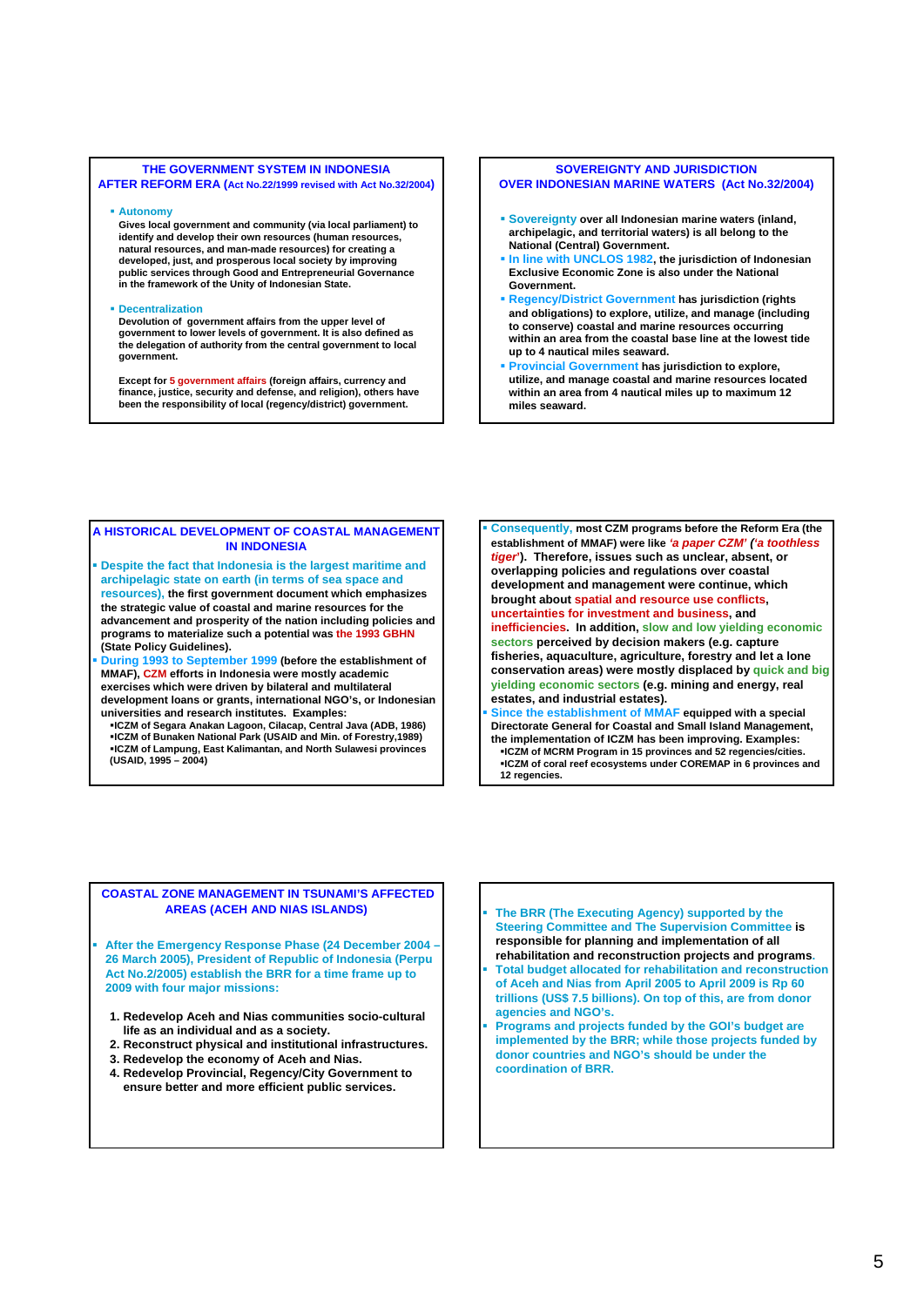### **THE GOVERNMENT SYSTEM IN INDONESIA AFTER REFORM ERA (Act No.22/1999 revised with Act No.32/2004)**

#### **Autonomy**

**Gives local government and community (via local parliament) to identify and develop their own resources (human resources, natural resources, and man-made resources) for creating a developed, just, and prosperous local society by improving public services through Good and Entrepreneurial Governance in the framework of the Unity of Indonesian State.**

### **Decentralization**

**Devolution of government affairs from the upper level of government to lower levels of government. It is also defined as the delegation of authority from the central government to local government.**

**Except for 5 government affairs (foreign affairs, currency and finance, justice, security and defense, and religion), others have been the responsibility of local (regency/district) government.**

#### **SOVEREIGNTY AND JURISDICTION OVER INDONESIAN MARINE WATERS (Act No.32/2004)**

- **Sovereignty over all Indonesian marine waters (inland, archipelagic, and territorial waters) is all belong to the National (Central) Government.**
- **In line with UNCLOS 1982, the jurisdiction of Indonesian Exclusive Economic Zone is also under the National Government.**
- **Regency/District Government has jurisdiction (rights and obligations) to explore, utilize, and manage (including to conserve) coastal and marine resources occurring within an area from the coastal base line at the lowest tide up to 4 nautical miles seaward.**
- **Provincial Government has jurisdiction to explore, utilize, and manage coastal and marine resources located within an area from 4 nautical miles up to maximum 12 miles seaward.**

#### **A HISTORICAL DEVELOPMENT OF COASTAL MANAGEMENT IN INDONESIA**

- **Despite the fact that Indonesia is the largest maritime and archipelagic state on earth (in terms of sea space and resources), the first government document which emphasizes the strategic value of coastal and marine resources for the advancement and prosperity of the nation including policies and programs to materialize such a potential was the 1993 GBHN (State Policy Guidelines).**
- **During 1993 to September 1999 (before the establishment of MMAF), CZM efforts in Indonesia were mostly academic exercises which were driven by bilateral and multilateral development loans or grants, international NGO's, or Indonesian universities and research institutes. Examples:**
- **ICZM of Segara Anakan Lagoon, Cilacap, Central Java (ADB, 1986) ICZM of Bunaken National Park (USAID and Min. of Forestry,1989) ICZM of Lampung, East Kalimantan, and North Sulawesi provinces (USAID, 1995 – 2004)**
- **Consequently, most CZM programs before the Reform Era (the establishment of MMAF) were like** *'a paper CZM' ('a toothless tiger***'). Therefore, issues such as unclear, absent, or overlapping policies and regulations over coastal development and management were continue, which brought about spatial and resource use conflicts, uncertainties for investment and business, and inefficiencies. In addition, slow and low yielding economic sectors perceived by decision makers (e.g. capture fisheries, aquaculture, agriculture, forestry and let a lone conservation areas) were mostly displaced by quick and big yielding economic sectors (e.g. mining and energy, real estates, and industrial estates).**
- **Since the establishment of MMAF equipped with a special Directorate General for Coastal and Small Island Management, the implementation of ICZM has been improving. Examples: ICZM of MCRM Program in 15 provinces and 52 regencies/cities. ICZM of coral reef ecosystems under COREMAP in 6 provinces and 12 regencies.**

## **COASTAL ZONE MANAGEMENT IN TSUNAMI'S AFFECTED AREAS (ACEH AND NIAS ISLANDS) The BRR (The Executing Agency) supported by the**

 **After the Emergency Response Phase (24 December 2004 – 26 March 2005), President of Republic of Indonesia (Perpu Act No.2/2005) establish the BRR for a time frame up to 2009 with four major missions:**

- **1. Redevelop Aceh and Nias communities socio-cultural life as an individual and as a society.**
- **2. Reconstruct physical and institutional infrastructures.**
- **3. Redevelop the economy of Aceh and Nias.**
- **4. Redevelop Provincial, Regency/City Government to ensure better and more efficient public services.**
- **Steering Committee and The Supervision Committee is responsible for planning and implementation of all rehabilitation and reconstruction projects and programs.**
- **Total budget allocated for rehabilitation and reconstruction of Aceh and Nias from April 2005 to April 2009 is Rp 60 trillions (US\$ 7.5 billions). On top of this, are from donor agencies and NGO's.**
- **Programs and projects funded by the GOI's budget are implemented by the BRR; while those projects funded by donor countries and NGO's should be under the coordination of BRR.**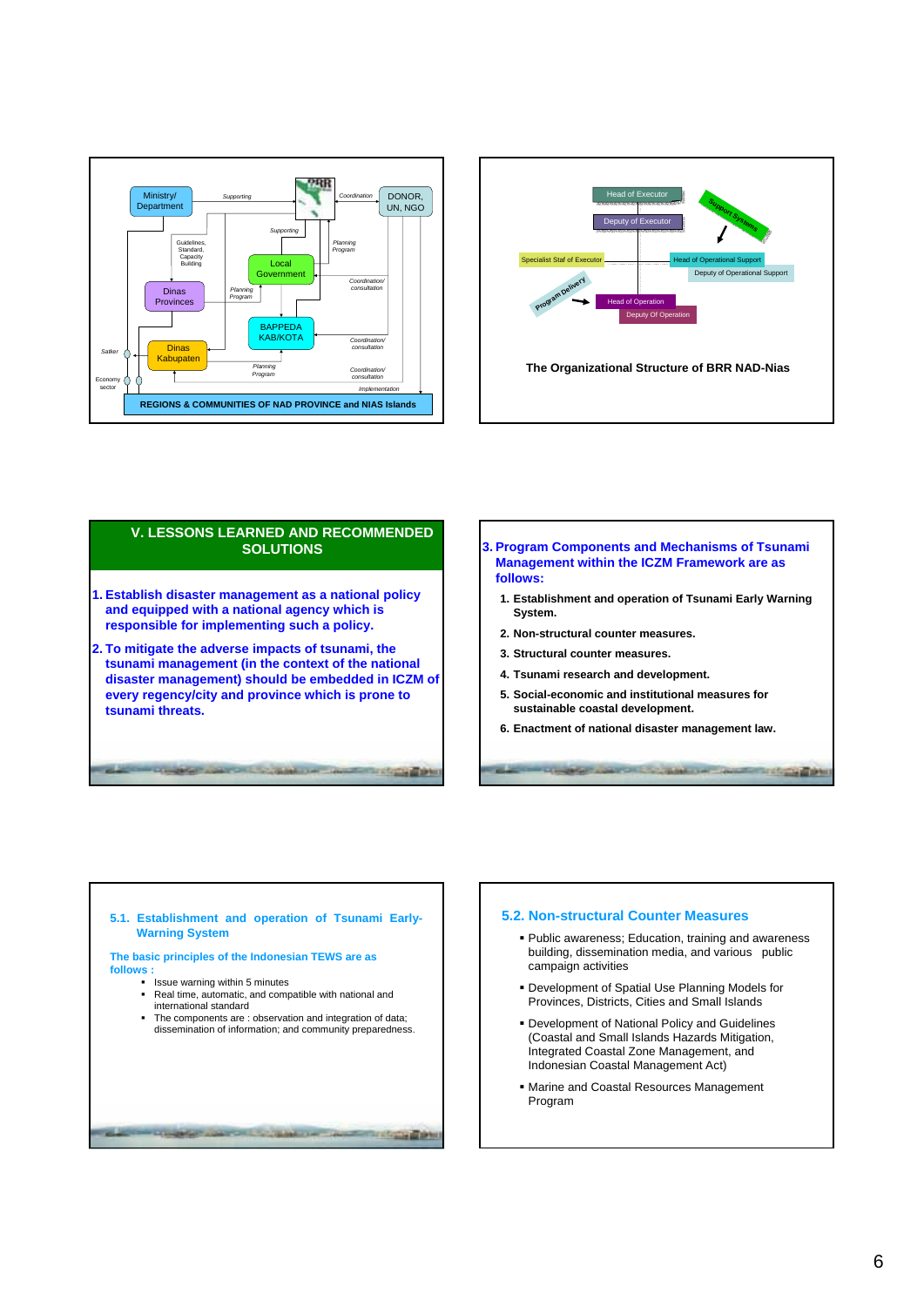



# **V. LESSONS LEARNED AND RECOMMENDED SOLUTIONS 1. Establish disaster management as a national policy and equipped with a national agency which is responsible for implementing such a policy. 2. To mitigate the adverse impacts of tsunami, the tsunami management (in the context of the national disaster management) should be embedded in ICZM of every regency/city and province which is prone to tsunami threats. CALL COMMON COMPANY RESIDENTS**

- **3. Program Components and Mechanisms of Tsunami Management within the ICZM Framework are as follows:**
	- **1. Establishment and operation of Tsunami Early Warning System.**
	- **2. Non-structural counter measures.**
	- **3. Structural counter measures.**
	- **4. Tsunami research and development.**
	- **5. Social-economic and institutional measures for sustainable coastal development.**
	- **6. Enactment of national disaster management law.**

**SEE FOOTBALLINE OF** 

**Service of company of the N** 



## **5.2. Non-structural Counter Measures**

- Public awareness; Education, training and awareness building, dissemination media, and various public campaign activities
- Development of Spatial Use Planning Models for Provinces, Districts, Cities and Small Islands
- Development of National Policy and Guidelines (Coastal and Small Islands Hazards Mitigation, Integrated Coastal Zone Management, and Indonesian Coastal Management Act)
- Marine and Coastal Resources Management Program